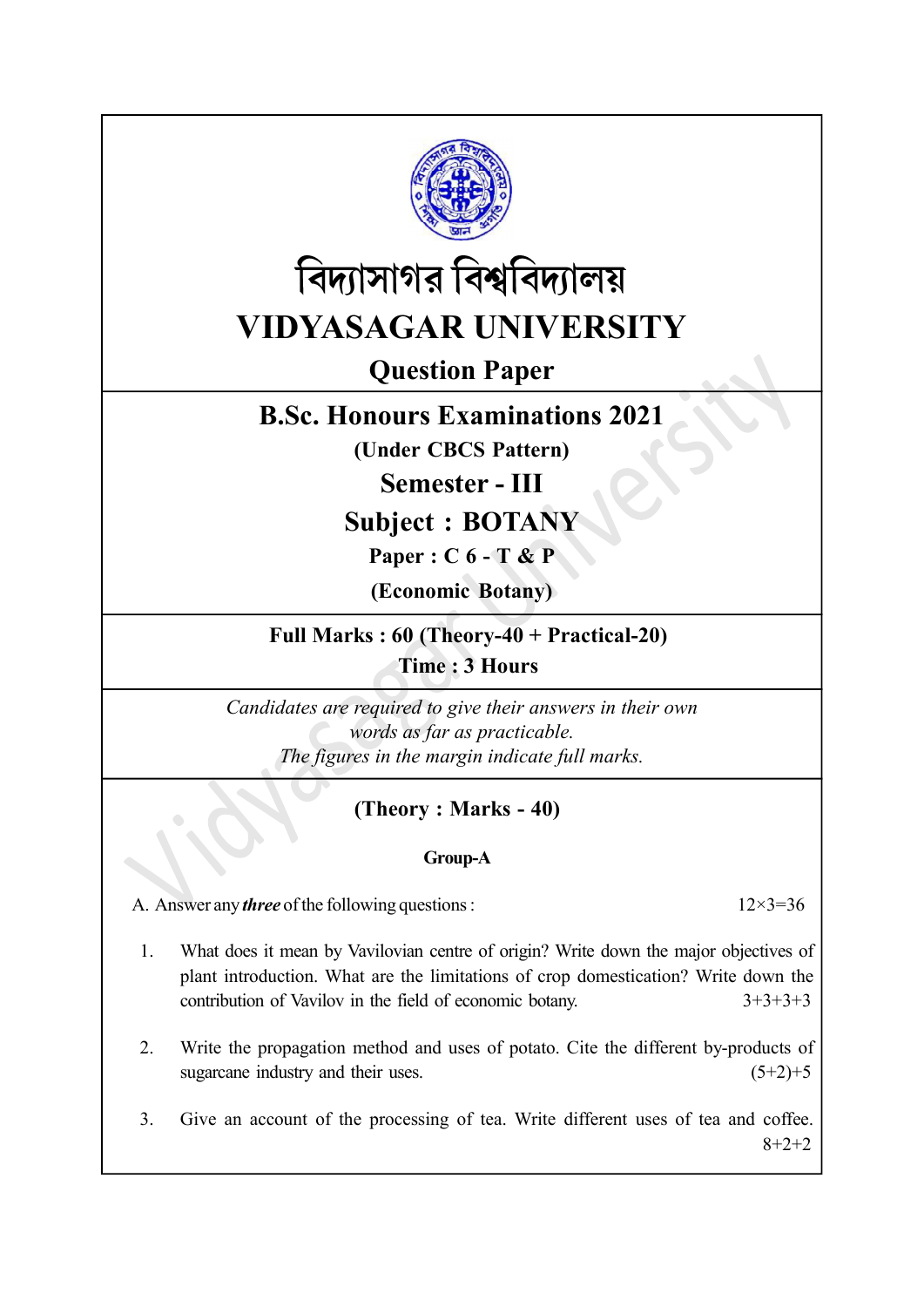



# Question Paper

## B.Sc. Honours Examinations 2021

(Under CBCS Pattern)

Semester - III

Subject : BOTANY

Paper : C 6 - T & P

(Economic Botany)

Full Marks : 60 (Theory-40 + Practical-20) Time : 3 Hours

Candidates are required to give their answers in their own words as far as practicable. The figures in the margin indicate full marks.

### (Theory : Marks - 40)

#### Group-A

A. Answer any *three* of the following questions :  $12 \times 3 = 36$ 

- 1. What does it mean by Vavilovian centre of origin? Write down the major objectives of plant introduction. What are the limitations of crop domestication? Write down the contribution of Vavilov in the field of economic botany. 3+3+3+3
- 2. Write the propagation method and uses of potato. Cite the different by-products of sugarcane industry and their uses.  $(5+2)+5$
- 3. Give an account of the processing of tea. Write different uses of tea and coffee. 8+2+2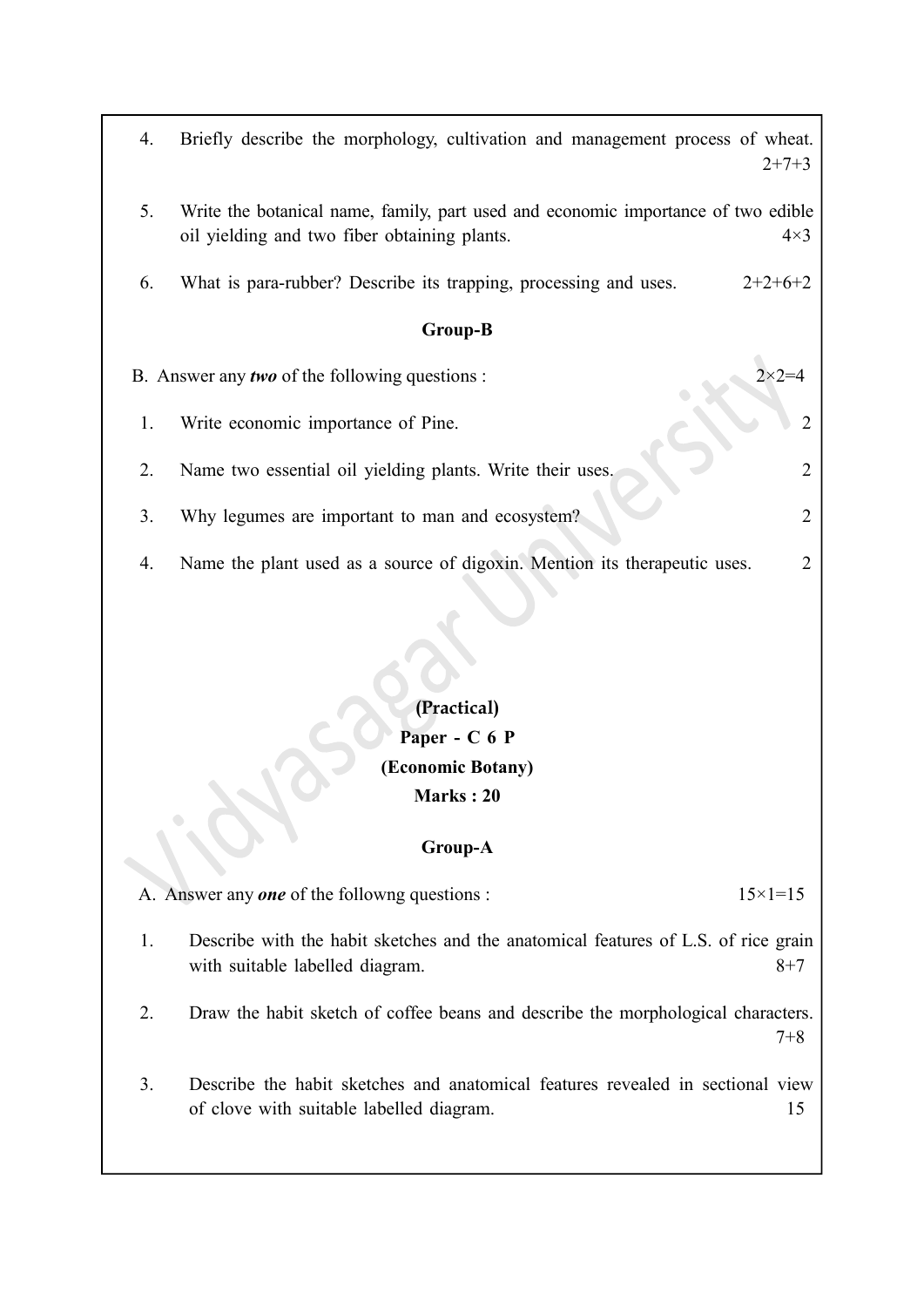| 4.                                                    | Briefly describe the morphology, cultivation and management process of wheat.<br>$2+7+3$                                          |                |  |  |
|-------------------------------------------------------|-----------------------------------------------------------------------------------------------------------------------------------|----------------|--|--|
| 5.                                                    | Write the botanical name, family, part used and economic importance of two edible<br>oil yielding and two fiber obtaining plants. | $4\times3$     |  |  |
| 6.                                                    | What is para-rubber? Describe its trapping, processing and uses.<br>$2+2+6+2$                                                     |                |  |  |
| <b>Group-B</b>                                        |                                                                                                                                   |                |  |  |
| B. Answer any <i>two</i> of the following questions : |                                                                                                                                   |                |  |  |
| 1.                                                    | Write economic importance of Pine.                                                                                                |                |  |  |
| 2.                                                    | Name two essential oil yielding plants. Write their uses,                                                                         | $\overline{2}$ |  |  |
| 3.                                                    | Why legumes are important to man and ecosystem?                                                                                   | 2              |  |  |
| 4.                                                    | Name the plant used as a source of digoxin. Mention its therapeutic uses.                                                         |                |  |  |

### (Practical) Paper - C 6 P (Economic Botany) Marks : 20

#### Group-A

A. Answer any **one** of the followng questions :  $15 \times 1 = 15$ 

- 1. Describe with the habit sketches and the anatomical features of L.S. of rice grain with suitable labelled diagram. 8+7
- 2. Draw the habit sketch of coffee beans and describe the morphological characters. 7+8
- 3. Describe the habit sketches and anatomical features revealed in sectional view of clove with suitable labelled diagram. 15